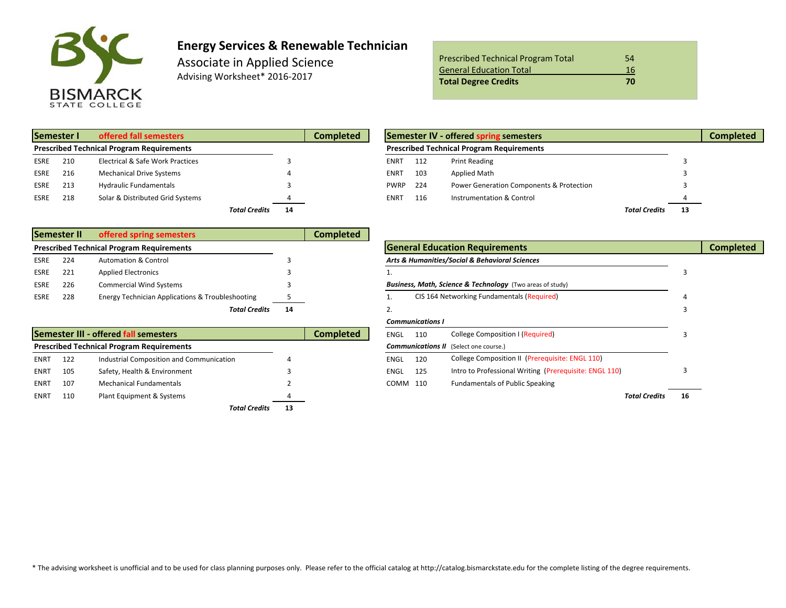

## **Energy Services & Renewable Technician**

Associate in Applied Science Advising Worksheet\* 2016‐2017

| <b>Prescribed Technical Program Total</b> | 54 |
|-------------------------------------------|----|
| <b>General Education Total</b>            | 16 |
| <b>Total Degree Credits</b>               | 70 |

| Semester I<br>offered fall semesters             |     |                                  | <b>Completed</b>     | Semester IV - offered spring semesters |  |             |     |                                                  |                      |  |
|--------------------------------------------------|-----|----------------------------------|----------------------|----------------------------------------|--|-------------|-----|--------------------------------------------------|----------------------|--|
| <b>Prescribed Technical Program Requirements</b> |     |                                  |                      |                                        |  |             |     | <b>Prescribed Technical Program Requirements</b> |                      |  |
| ESRE                                             | 210 | Electrical & Safe Work Practices |                      |                                        |  | <b>ENRT</b> | 112 | <b>Print Reading</b>                             |                      |  |
| ESRE                                             | 216 | <b>Mechanical Drive Systems</b>  |                      |                                        |  | <b>ENRT</b> | 103 | Applied Math                                     |                      |  |
| <b>ESRE</b>                                      | 213 | <b>Hydraulic Fundamentals</b>    |                      |                                        |  | <b>PWRP</b> | 224 | Power Generation Components & Protection         |                      |  |
| ESRE                                             | 218 | Solar & Distributed Grid Systems |                      |                                        |  | <b>ENRT</b> | 116 | Instrumentation & Control                        |                      |  |
|                                                  |     |                                  | <b>Total Credits</b> | 14                                     |  |             |     |                                                  | <b>Total Credits</b> |  |

| ed fall semesters          | <b>Completed</b>           |  | Semester IV - offered spring semesters |     |                                                  |                      |    |  |  |  |
|----------------------------|----------------------------|--|----------------------------------------|-----|--------------------------------------------------|----------------------|----|--|--|--|
| ogram Requirements         |                            |  |                                        |     | <b>Prescribed Technical Program Requirements</b> |                      |    |  |  |  |
| ical & Safe Work Practices |                            |  | ENRT                                   | 112 | <b>Print Reading</b>                             |                      |    |  |  |  |
| anical Drive Systems       |                            |  | <b>ENRT</b>                            | 103 | Applied Math                                     |                      |    |  |  |  |
| ulic Fundamentals          |                            |  | <b>PWRP</b>                            | 224 | Power Generation Components & Protection         |                      |    |  |  |  |
| & Distributed Grid Systems |                            |  | <b>ENRT</b>                            | 116 | Instrumentation & Control                        |                      |    |  |  |  |
|                            | <b>Total Credits</b><br>14 |  |                                        |     |                                                  | <b>Total Credits</b> | 13 |  |  |  |

|             | <b>Semester II</b> | offered spring semesters                         |    | Completed |                                                                      |  |
|-------------|--------------------|--------------------------------------------------|----|-----------|----------------------------------------------------------------------|--|
|             |                    | <b>Prescribed Technical Program Requirements</b> |    |           | <b>General Education Requirements</b>                                |  |
| <b>ESRE</b> | 224                | <b>Automation &amp; Control</b>                  |    |           | Arts & Humanities/Social & Behavioral Sciences                       |  |
| ESRE        | 221                | <b>Applied Electronics</b>                       |    |           |                                                                      |  |
| ESRE        | 226                | <b>Commercial Wind Systems</b>                   |    |           | <b>Business, Math, Science &amp; Technology</b> (Two areas of study) |  |
| ESRE        | 228                | Energy Technician Applications & Troubleshooting |    |           | CIS 164 Networking Fundamentals (Required)                           |  |
|             |                    | <b>Total Credits</b>                             | 14 |           |                                                                      |  |

|             |     | Semester III - offered fall semesters            |    | Completed | <b>ENGL</b> | 110 | <b>College Composition I (Required)</b>                |
|-------------|-----|--------------------------------------------------|----|-----------|-------------|-----|--------------------------------------------------------|
|             |     | <b>Prescribed Technical Program Requirements</b> |    |           |             |     | <b>Communications II</b> (Select one course.)          |
| ENRT        | 122 | Industrial Composition and Communication         |    |           | <b>ENGL</b> | 120 | College Composition II (Prerequisite: ENGL 110)        |
| ENRT        | 105 | Safety, Health & Environment                     |    |           | <b>ENGL</b> | 125 | Intro to Professional Writing (Prerequisite: ENGL 110) |
| ENRT        | 107 | <b>Mechanical Fundamentals</b>                   |    |           | COMM        | 110 | <b>Fundamentals of Public Speaking</b>                 |
| <b>ENRT</b> | 110 | Plant Equipment & Systems                        | 4  |           |             |     |                                                        |
|             |     | Total Credits                                    | 13 |           |             |     |                                                        |

|    | d Technical Program Requirements                 |    |                  |             |                         | <b>General Education Requirements</b>                     |    | <b>Completed</b> |
|----|--------------------------------------------------|----|------------------|-------------|-------------------------|-----------------------------------------------------------|----|------------------|
| 24 | <b>Automation &amp; Control</b>                  |    |                  |             |                         | Arts & Humanities/Social & Behavioral Sciences            |    |                  |
| 21 | <b>Applied Electronics</b>                       |    |                  |             |                         |                                                           |    |                  |
| 26 | <b>Commercial Wind Systems</b>                   |    |                  |             |                         | Business, Math, Science & Technology (Two areas of study) |    |                  |
| 28 | Energy Technician Applications & Troubleshooting |    |                  |             |                         | CIS 164 Networking Fundamentals (Required)                |    |                  |
|    | <b>Total Credits</b>                             | 14 |                  | ۷.          |                         |                                                           |    |                  |
|    |                                                  |    |                  |             | <b>Communications I</b> |                                                           |    |                  |
|    | er III - offered fall semesters                  |    | <b>Completed</b> | <b>ENGL</b> | 110                     | <b>College Composition I (Required)</b>                   |    |                  |
|    | d Technical Program Requirements                 |    |                  |             |                         | <b>Communications II</b> (Select one course.)             |    |                  |
| 22 | Industrial Composition and Communication         |    |                  | <b>ENGL</b> | 120                     | College Composition II (Prerequisite: ENGL 110)           |    |                  |
| 05 | Safety, Health & Environment                     |    |                  | <b>ENGL</b> | 125                     | Intro to Professional Writing (Prerequisite: ENGL 110)    |    |                  |
| 07 | <b>Mechanical Fundamentals</b>                   |    |                  | COMM 110    |                         | <b>Fundamentals of Public Speaking</b>                    |    |                  |
| 10 | Plant Equipment & Systems                        |    |                  |             |                         | <b>Total Credits</b>                                      | 16 |                  |
|    |                                                  |    |                  |             |                         |                                                           |    |                  |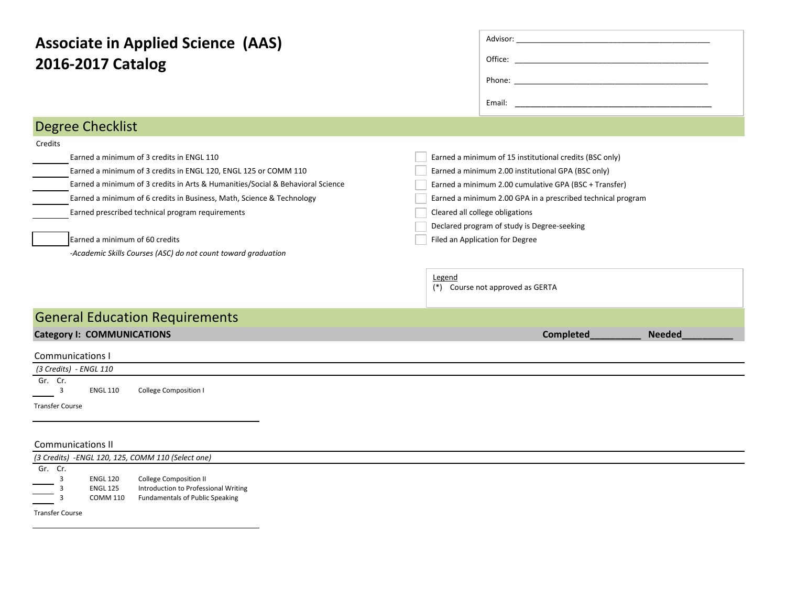| <b>Associate in Applied Science (AAS)</b><br>2016-2017 Catalog                                                                                                                                                                                                                                                                                                                                                                            |                                                                                                                                                                                                                                                                                                                                                                                                          |
|-------------------------------------------------------------------------------------------------------------------------------------------------------------------------------------------------------------------------------------------------------------------------------------------------------------------------------------------------------------------------------------------------------------------------------------------|----------------------------------------------------------------------------------------------------------------------------------------------------------------------------------------------------------------------------------------------------------------------------------------------------------------------------------------------------------------------------------------------------------|
| <b>Degree Checklist</b>                                                                                                                                                                                                                                                                                                                                                                                                                   |                                                                                                                                                                                                                                                                                                                                                                                                          |
| Credits<br>Earned a minimum of 3 credits in ENGL 110<br>Earned a minimum of 3 credits in ENGL 120, ENGL 125 or COMM 110<br>Earned a minimum of 3 credits in Arts & Humanities/Social & Behavioral Science<br>Earned a minimum of 6 credits in Business, Math, Science & Technology<br>Earned prescribed technical program requirements<br>Earned a minimum of 60 credits<br>-Academic Skills Courses (ASC) do not count toward graduation | Earned a minimum of 15 institutional credits (BSC only)<br>Earned a minimum 2.00 institutional GPA (BSC only)<br>Earned a minimum 2.00 cumulative GPA (BSC + Transfer)<br>Earned a minimum 2.00 GPA in a prescribed technical program<br>Cleared all college obligations<br>Declared program of study is Degree-seeking<br>Filed an Application for Degree<br>Legend<br>(*) Course not approved as GERTA |
| <b>General Education Requirements</b>                                                                                                                                                                                                                                                                                                                                                                                                     |                                                                                                                                                                                                                                                                                                                                                                                                          |
| <b>Category I: COMMUNICATIONS</b>                                                                                                                                                                                                                                                                                                                                                                                                         | Completed<br><b>Needed</b>                                                                                                                                                                                                                                                                                                                                                                               |
| <b>Communications I</b><br>(3 Credits) - ENGL 110<br>Gr. Cr.<br><b>College Composition I</b><br>3<br><b>ENGL 110</b><br><b>Transfer Course</b>                                                                                                                                                                                                                                                                                            |                                                                                                                                                                                                                                                                                                                                                                                                          |

## Communications II

|                                                                        | (3 Credits) -ENGL 120, 125, COMM 110 (Select one) |                                      |  |  |  |  |  |  |  |  |
|------------------------------------------------------------------------|---------------------------------------------------|--------------------------------------|--|--|--|--|--|--|--|--|
| Gr. Cr.                                                                |                                                   |                                      |  |  |  |  |  |  |  |  |
|                                                                        | <b>ENGL 120</b>                                   | <b>College Composition II</b>        |  |  |  |  |  |  |  |  |
| $\overbrace{\hspace{27mm}}^{ }$                                        | <b>ENGL 125</b>                                   | Introduction to Professional Writing |  |  |  |  |  |  |  |  |
| $\overline{\phantom{a}}$<br><b>Contract Contract Contract Contract</b> | <b>COMM 110</b>                                   | Fundamentals of Public Speaking      |  |  |  |  |  |  |  |  |
| <b>Transfer Course</b>                                                 |                                                   |                                      |  |  |  |  |  |  |  |  |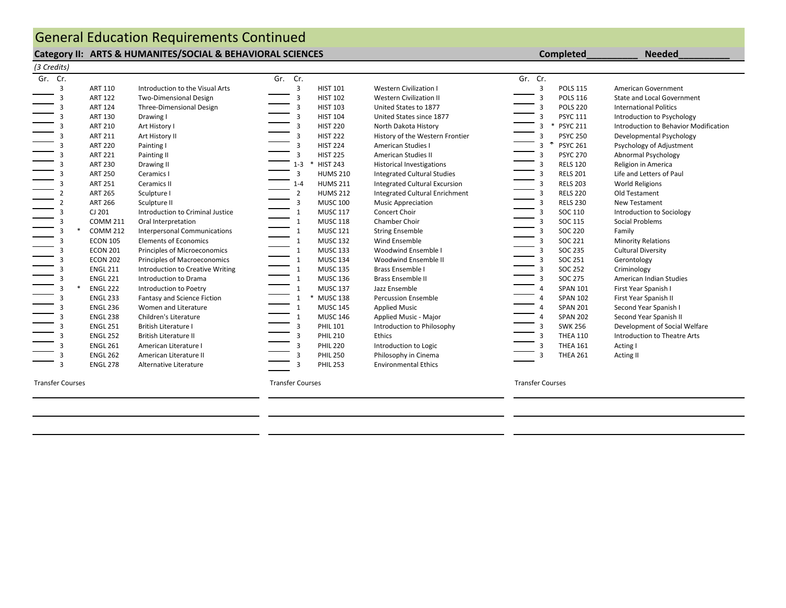## **Category II: ARTS & HUMANITES/SOCIAL & BEHAVIORAL SCIENCES Completed\_\_\_\_\_\_\_\_\_\_ Needed\_\_\_\_\_\_\_\_\_\_** General Education Requirements Continued

| Gr. Cr. |                 |                                     | Gr. Cr.      |                 |                                      | Gr. Cr. |   |                 |                                       |
|---------|-----------------|-------------------------------------|--------------|-----------------|--------------------------------------|---------|---|-----------------|---------------------------------------|
| 3       | <b>ART 110</b>  | Introduction to the Visual Arts     | 3            | <b>HIST 101</b> | Western Civilization I               |         | 3 | <b>POLS 115</b> | American Government                   |
| 3       | <b>ART 122</b>  | <b>Two-Dimensional Design</b>       | 3            | <b>HIST 102</b> | <b>Western Civilization II</b>       |         | 3 | <b>POLS 116</b> | <b>State and Local Government</b>     |
|         | <b>ART 124</b>  | Three-Dimensional Design            | 3            | <b>HIST 103</b> | United States to 1877                |         | 3 | <b>POLS 220</b> | <b>International Politics</b>         |
|         | <b>ART 130</b>  | Drawing I                           |              | <b>HIST 104</b> | United States since 1877             |         |   | <b>PSYC 111</b> | Introduction to Psychology            |
|         | <b>ART 210</b>  | Art History I                       |              | <b>HIST 220</b> | North Dakota History                 |         |   | * PSYC 211      | Introduction to Behavior Modification |
|         | <b>ART 211</b>  | Art History II                      | 3            | <b>HIST 222</b> | History of the Western Frontier      |         | 3 | <b>PSYC 250</b> | Developmental Psychology              |
| 3       | <b>ART 220</b>  | Painting I                          | 3            | <b>HIST 224</b> | American Studies I                   |         | 3 | <b>PSYC 261</b> | Psychology of Adjustment              |
|         | <b>ART 221</b>  | Painting II                         | 3            | <b>HIST 225</b> | American Studies II                  |         | 3 | <b>PSYC 270</b> | Abnormal Psychology                   |
|         | <b>ART 230</b>  | Drawing II                          | $1 - 3$      | <b>HIST 243</b> | <b>Historical Investigations</b>     |         |   | <b>RELS 120</b> | Religion in America                   |
|         | <b>ART 250</b>  | Ceramics I                          | 3            | <b>HUMS 210</b> | <b>Integrated Cultural Studies</b>   |         | 3 | <b>RELS 201</b> | Life and Letters of Paul              |
|         | <b>ART 251</b>  | Ceramics II                         | $1 - 4$      | <b>HUMS 211</b> | <b>Integrated Cultural Excursion</b> |         | 3 | <b>RELS 203</b> | World Religions                       |
|         | <b>ART 265</b>  | Sculpture I                         | 2            | <b>HUMS 212</b> | Integrated Cultural Enrichment       |         | 3 | <b>RELS 220</b> | Old Testament                         |
|         | <b>ART 266</b>  | Sculpture II                        | 3            | <b>MUSC 100</b> | <b>Music Appreciation</b>            |         | 3 | <b>RELS 230</b> | New Testament                         |
|         | CJ 201          | Introduction to Criminal Justice    |              | <b>MUSC 117</b> | Concert Choir                        |         |   | SOC 110         | Introduction to Sociology             |
|         | <b>COMM 211</b> | Oral Interpretation                 | $\mathbf{1}$ | <b>MUSC 118</b> | Chamber Choir                        |         |   | SOC 115         | Social Problems                       |
|         | <b>COMM 212</b> | <b>Interpersonal Communications</b> | $\mathbf{1}$ | <b>MUSC 121</b> | <b>String Ensemble</b>               |         | 3 | <b>SOC 220</b>  | Family                                |
| 3       | <b>ECON 105</b> | <b>Elements of Economics</b>        | $\mathbf{1}$ | <b>MUSC 132</b> | Wind Ensemble                        |         | 3 | SOC 221         | <b>Minority Relations</b>             |
| з       | <b>ECON 201</b> | Principles of Microeconomics        |              | <b>MUSC 133</b> | Woodwind Ensemble I                  |         | 3 | SOC 235         | <b>Cultural Diversity</b>             |
|         | <b>ECON 202</b> | Principles of Macroeconomics        |              | <b>MUSC 134</b> | Woodwind Ensemble II                 |         |   | SOC 251         | Gerontology                           |
|         | <b>ENGL 211</b> | Introduction to Creative Writing    | 1            | <b>MUSC 135</b> | Brass Ensemble I                     |         | 3 | <b>SOC 252</b>  | Criminology                           |
|         | <b>ENGL 221</b> | Introduction to Drama               | $\mathbf{1}$ | <b>MUSC 136</b> | Brass Ensemble II                    |         | 3 | <b>SOC 275</b>  | American Indian Studies               |
|         | <b>ENGL 222</b> | Introduction to Poetry              | $\mathbf{1}$ | <b>MUSC 137</b> | Jazz Ensemble                        |         | 4 | <b>SPAN 101</b> | First Year Spanish I                  |
|         | <b>ENGL 233</b> | Fantasy and Science Fiction         |              | <b>MUSC 138</b> | <b>Percussion Ensemble</b>           |         |   | <b>SPAN 102</b> | First Year Spanish II                 |
|         | <b>ENGL 236</b> | Women and Literature                |              | <b>MUSC 145</b> | <b>Applied Music</b>                 |         |   | <b>SPAN 201</b> | Second Year Spanish I                 |
|         | <b>ENGL 238</b> | Children's Literature               | $\mathbf{1}$ | <b>MUSC 146</b> | Applied Music - Major                |         |   | <b>SPAN 202</b> | Second Year Spanish II                |
|         | <b>ENGL 251</b> | <b>British Literature I</b>         |              | <b>PHIL 101</b> | Introduction to Philosophy           |         | 3 | <b>SWK 256</b>  | Development of Social Welfare         |
|         | <b>ENGL 252</b> | <b>British Literature II</b>        | 3            | <b>PHIL 210</b> | Ethics                               |         | 3 | <b>THEA 110</b> | Introduction to Theatre Arts          |
|         | <b>ENGL 261</b> | American Literature I               |              | <b>PHIL 220</b> | Introduction to Logic                |         | 3 | <b>THEA 161</b> | Acting I                              |
|         | <b>ENGL 262</b> | American Literature II              |              | <b>PHIL 250</b> | Philosophy in Cinema                 |         |   | <b>THEA 261</b> | Acting II                             |
|         | <b>ENGL 278</b> | Alternative Literature              |              | <b>PHIL 253</b> | <b>Environmental Ethics</b>          |         |   |                 |                                       |